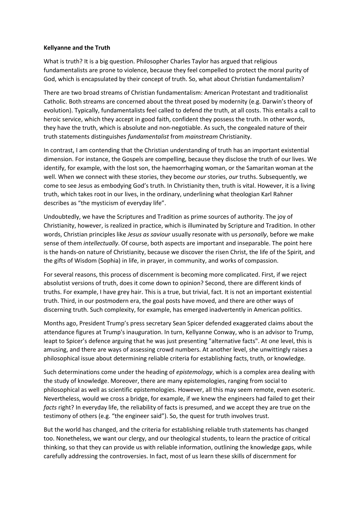## **Kellyanne and the Truth**

What is truth? It is a big question. Philosopher Charles Taylor has argued that religious fundamentalists are prone to violence, because they feel compelled to protect the moral purity of God, which is encapsulated by their concept of truth. So, what about Christian fundamentalism?

There are two broad streams of Christian fundamentalism: American Protestant and traditionalist Catholic. Both streams are concerned about the threat posed by modernity (e.g. Darwin's theory of evolution). Typically, fundamentalists feel called to defend *the* truth, at all costs. This entails a call to heroic service, which they accept in good faith, confident they possess the truth. In other words, they have the truth, which is absolute and non-negotiable. As such, the congealed nature of their truth statements distinguishes *fundamentalist* from *mainstream* Christianity.

In contrast, I am contending that the Christian understanding of truth has an important existential dimension. For instance, the Gospels are compelling, because they disclose the truth of our lives. We identify, for example, with the lost son, the haemorrhaging woman, or the Samaritan woman at the well. When we connect with these stories, they become *our* stories, *our* truths. Subsequently, we come to see Jesus as embodying God's truth. In Christianity then, truth is vital. However, it is a living truth, which takes root in our lives, in the ordinary, underlining what theologian Karl Rahner describes as "the mysticism of everyday life".

Undoubtedly, we have the Scriptures and Tradition as prime sources of authority. The joy of Christianity, however, is realized in practice, which is illuminated by Scripture and Tradition. In other words, Christian principles like *Jesus as saviour* usually resonate with us *personally*, before we make sense of them *intellectually*. Of course, both aspects are important and inseparable. The point here is the hands-on nature of Christianity, because we discover the risen Christ, the life of the Spirit, and the gifts of Wisdom (Sophia) in life, in prayer, in community, and works of compassion.

For several reasons, this process of discernment is becoming more complicated. First, if we reject absolutist versions of truth, does it come down to opinion? Second, there are different kinds of truths. For example, I have grey hair. This is a true, but trivial, fact. It is not an important existential truth. Third, in our postmodern era, the goal posts have moved, and there are other ways of discerning truth. Such complexity, for example, has emerged inadvertently in American politics.

Months ago, President Trump's press secretary Sean Spicer defended exaggerated claims about the attendance figures a[t Trump's](https://en.wikipedia.org/wiki/Donald_Trump) [inauguration.](https://en.wikipedia.org/wiki/Inauguration_of_Donald_Trump) In turn, [Kellyanne Conway,](https://en.wikipedia.org/wiki/Kellyanne_Conway) who is an advisor to Trump, leapt to Spicer's defence arguing that he was just presenting "alternative facts". At one level, this is amusing, and there are ways of assessing crowd numbers. At another level, she unwittingly raises a philosophical issue about determining reliable criteria for establishing facts, truth, or knowledge.

Such determinations come under the heading of *epistemology*, which is a complex area dealing with the study of knowledge. Moreover, there are many epistemologies, ranging from social to philosophical as well as scientific epistemologies. However, all this may seem remote, even esoteric. Nevertheless, would we cross a bridge, for example, if we knew the engineers had failed to get their *facts* right? In everyday life, the reliability of facts is presumed, and we accept they are true on the testimony of others (e.g. "the engineer said"). So, the quest for truth involves trust.

But the world has changed, and the criteria for establishing reliable truth statements has changed too. Nonetheless, we want our clergy, and our theological students, to learn the practice of critical thinking, so that they can provide us with reliable information, outlining the knowledge gaps, while carefully addressing the controversies. In fact, most of us learn these skills of discernment for